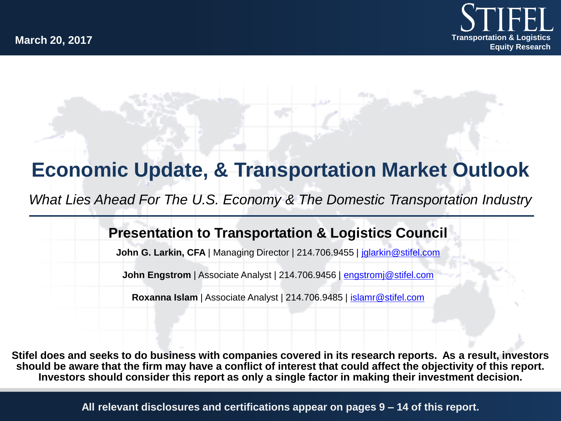

## **Economic Update, & Transportation Market Outlook**

*What Lies Ahead For The U.S. Economy & The Domestic Transportation Industry*

#### **Presentation to Transportation & Logistics Council**

**John G. Larkin, CFA** | Managing Director | 214.706.9455 | jalarkin@stifel.com

**John Engstrom** | Associate Analyst | 214.706.9456 | [engstromj@stifel.com](mailto:engstromj@stifel.com)

**Roxanna Islam** | Associate Analyst | 214.706.9485 | [islamr@stifel.com](mailto:islamr@stifel.com)

**Stifel does and seeks to do business with companies covered in its research reports. As a result, investors should be aware that the firm may have a conflict of interest that could affect the objectivity of this report. Investors should consider this report as only a single factor in making their investment decision.**

**All relevant disclosures and certifications appear on pages 9 – 14 of this report.**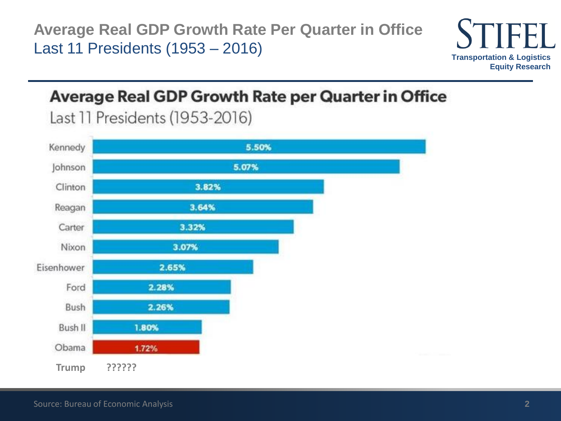**Average Real GDP Growth Rate Per Quarter in Office** Last 11 Presidents (1953 – 2016)



### **Average Real GDP Growth Rate per Quarter in Office**

Last 11 Presidents (1953-2016)

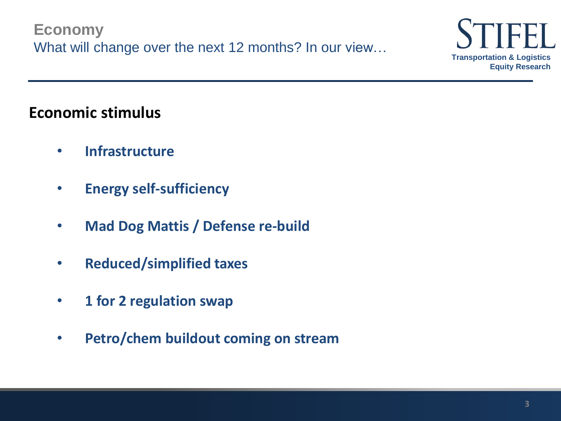**Economy** What will change over the next 12 months? In our view...



### **Economic stimulus**

- **Infrastructure**
- **Energy self-sufficiency**
- **Mad Dog Mattis / Defense re-build**
- **Reduced/simplified taxes**
- **1 for 2 regulation swap**
- **Petro/chem buildout coming on stream**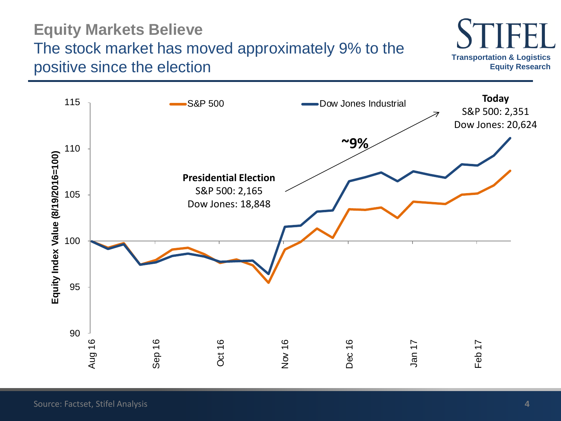### **Equity Markets Believe** The stock market has moved approximately 9% to the positive since the election



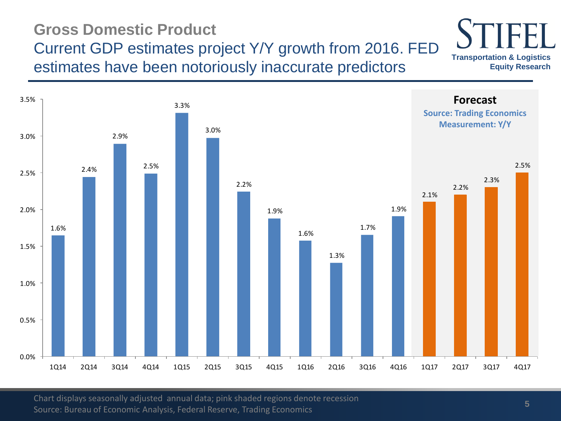### **Gross Domestic Product** Current GDP estimates project Y/Y growth from 2016. FED estimates have been notoriously inaccurate predictors

**Forecast Source: Trading Economics Measurement: Y/Y** 1.6% 2.4% 2.9% 2.5% 3.3% 3.0% 2.2% 1.9% 1.6% 1.3% 1.7% 1.9% 2.1% 2.2% 2.3% 2.5% 0.0% 0.5% 1.0% 1.5% 2.0% 2.5% 3.0% 3.5% 1Q14 2Q14 3Q14 4Q14 1Q15 2Q15 3Q15 4Q15 1Q16 2Q16 3Q16 4Q16 1Q17 2Q17 3Q17 4Q17

Chart displays seasonally adjusted annual data; pink shaded regions denote recession Source: Bureau of Economic Analysis, Federal Reserve, Trading Economics

**Transportation & Logistics** 

**Equity Research**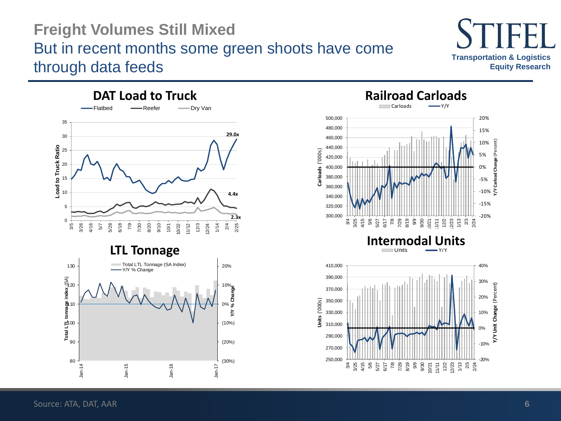### **Freight Volumes Still Mixed** But in recent months some green shoots have come through data feeds





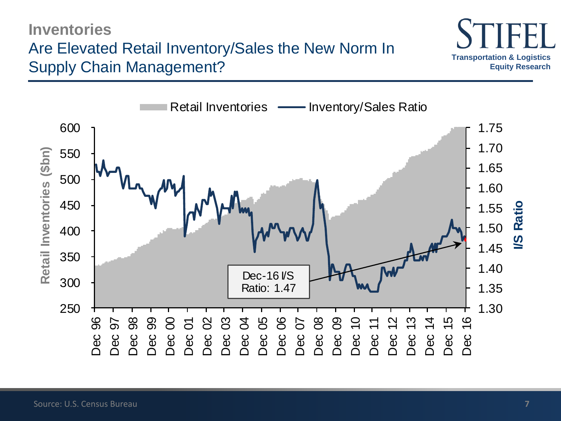### **Economic Indicators Inventories** Are Elevated Retail Inventory/Sales the New Norm In Supply Chain Management?



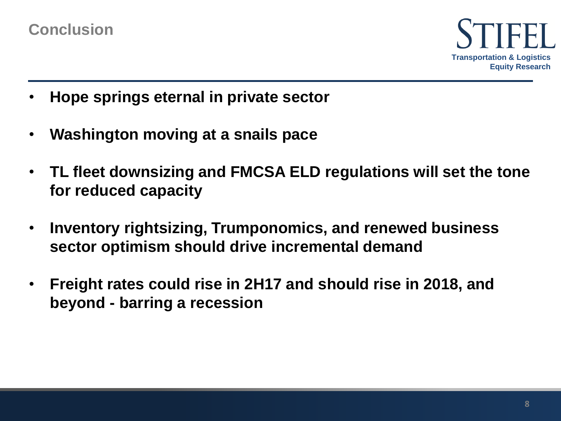

- **Hope springs eternal in private sector**
- **Washington moving at a snails pace**
- **TL fleet downsizing and FMCSA ELD regulations will set the tone for reduced capacity**
- **Inventory rightsizing, Trumponomics, and renewed business sector optimism should drive incremental demand**
- **Freight rates could rise in 2H17 and should rise in 2018, and beyond - barring a recession**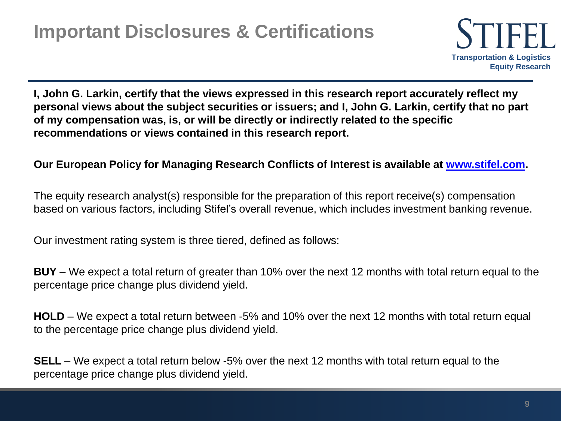

**I, John G. Larkin, certify that the views expressed in this research report accurately reflect my personal views about the subject securities or issuers; and I, John G. Larkin, certify that no part of my compensation was, is, or will be directly or indirectly related to the specific recommendations or views contained in this research report.** 

#### **Our European Policy for Managing Research Conflicts of Interest is available at [www.stifel.com](http://www.stifel.com/).**

The equity research analyst(s) responsible for the preparation of this report receive(s) compensation based on various factors, including Stifel's overall revenue, which includes investment banking revenue.

Our investment rating system is three tiered, defined as follows:

**BUY** – We expect a total return of greater than 10% over the next 12 months with total return equal to the percentage price change plus dividend yield.

**HOLD** – We expect a total return between -5% and 10% over the next 12 months with total return equal to the percentage price change plus dividend yield.

**SELL** – We expect a total return below -5% over the next 12 months with total return equal to the percentage price change plus dividend yield.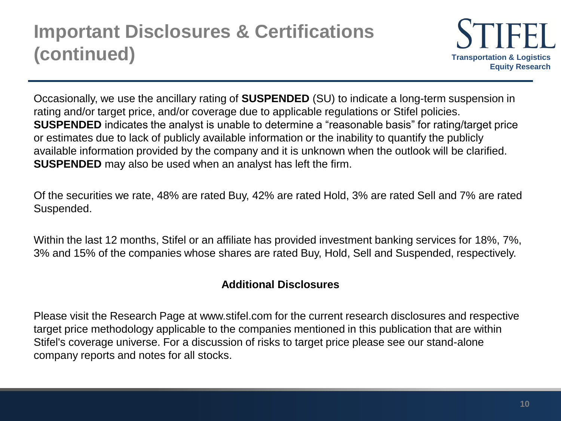

Occasionally, we use the ancillary rating of **SUSPENDED** (SU) to indicate a long-term suspension in rating and/or target price, and/or coverage due to applicable regulations or Stifel policies. **SUSPENDED** indicates the analyst is unable to determine a "reasonable basis" for rating/target price or estimates due to lack of publicly available information or the inability to quantify the publicly available information provided by the company and it is unknown when the outlook will be clarified. **SUSPENDED** may also be used when an analyst has left the firm.

Of the securities we rate, 48% are rated Buy, 42% are rated Hold, 3% are rated Sell and 7% are rated Suspended.

Within the last 12 months, Stifel or an affiliate has provided investment banking services for 18%, 7%, 3% and 15% of the companies whose shares are rated Buy, Hold, Sell and Suspended, respectively.

#### **Additional Disclosures**

Please visit the Research Page at www.stifel.com for the current research disclosures and respective target price methodology applicable to the companies mentioned in this publication that are within Stifel's coverage universe. For a discussion of risks to target price please see our stand-alone company reports and notes for all stocks.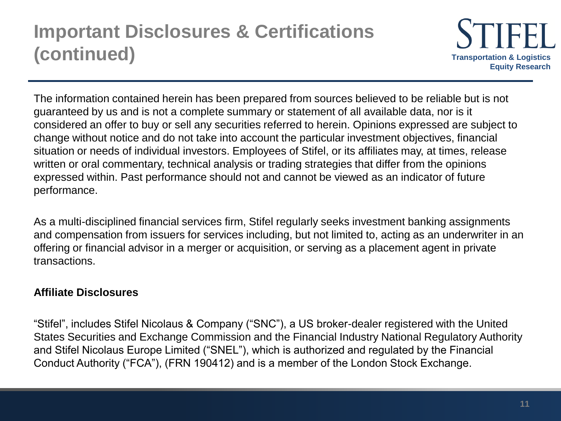

The information contained herein has been prepared from sources believed to be reliable but is not guaranteed by us and is not a complete summary or statement of all available data, nor is it considered an offer to buy or sell any securities referred to herein. Opinions expressed are subject to change without notice and do not take into account the particular investment objectives, financial situation or needs of individual investors. Employees of Stifel, or its affiliates may, at times, release written or oral commentary, technical analysis or trading strategies that differ from the opinions expressed within. Past performance should not and cannot be viewed as an indicator of future performance.

As a multi-disciplined financial services firm, Stifel regularly seeks investment banking assignments and compensation from issuers for services including, but not limited to, acting as an underwriter in an offering or financial advisor in a merger or acquisition, or serving as a placement agent in private transactions.

#### **Affiliate Disclosures**

"Stifel", includes Stifel Nicolaus & Company ("SNC"), a US broker-dealer registered with the United States Securities and Exchange Commission and the Financial Industry National Regulatory Authority and Stifel Nicolaus Europe Limited ("SNEL"), which is authorized and regulated by the Financial Conduct Authority ("FCA"), (FRN 190412) and is a member of the London Stock Exchange.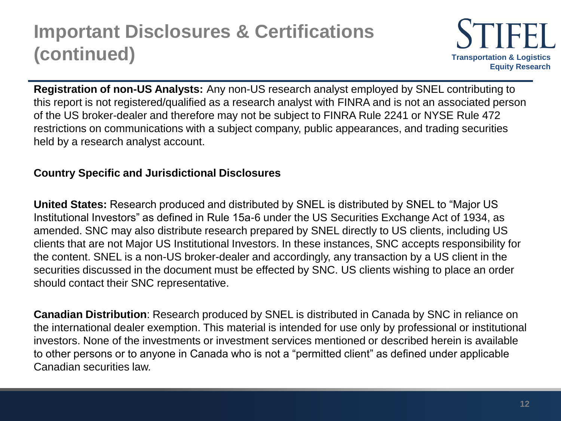

**Registration of non-US Analysts:** Any non-US research analyst employed by SNEL contributing to this report is not registered/qualified as a research analyst with FINRA and is not an associated person of the US broker-dealer and therefore may not be subject to FINRA Rule 2241 or NYSE Rule 472 restrictions on communications with a subject company, public appearances, and trading securities held by a research analyst account.

#### **Country Specific and Jurisdictional Disclosures**

**United States:** Research produced and distributed by SNEL is distributed by SNEL to "Major US Institutional Investors" as defined in Rule 15a-6 under the US Securities Exchange Act of 1934, as amended. SNC may also distribute research prepared by SNEL directly to US clients, including US clients that are not Major US Institutional Investors. In these instances, SNC accepts responsibility for the content. SNEL is a non-US broker-dealer and accordingly, any transaction by a US client in the securities discussed in the document must be effected by SNC. US clients wishing to place an order should contact their SNC representative.

**Canadian Distribution**: Research produced by SNEL is distributed in Canada by SNC in reliance on the international dealer exemption. This material is intended for use only by professional or institutional investors. None of the investments or investment services mentioned or described herein is available to other persons or to anyone in Canada who is not a "permitted client" as defined under applicable Canadian securities law.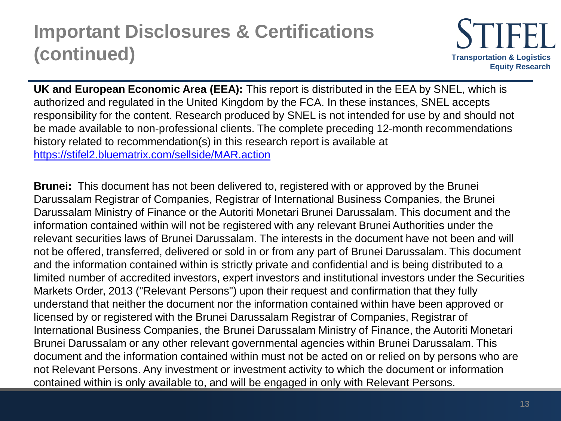

**UK and European Economic Area (EEA):** This report is distributed in the EEA by SNEL, which is authorized and regulated in the United Kingdom by the FCA. In these instances, SNEL accepts responsibility for the content. Research produced by SNEL is not intended for use by and should not be made available to non-professional clients. The complete preceding 12-month recommendations history related to recommendation(s) in this research report is available at <https://stifel2.bluematrix.com/sellside/MAR.action>

**Brunei:** This document has not been delivered to, registered with or approved by the Brunei Darussalam Registrar of Companies, Registrar of International Business Companies, the Brunei Darussalam Ministry of Finance or the Autoriti Monetari Brunei Darussalam. This document and the information contained within will not be registered with any relevant Brunei Authorities under the relevant securities laws of Brunei Darussalam. The interests in the document have not been and will not be offered, transferred, delivered or sold in or from any part of Brunei Darussalam. This document and the information contained within is strictly private and confidential and is being distributed to a limited number of accredited investors, expert investors and institutional investors under the Securities Markets Order, 2013 ("Relevant Persons") upon their request and confirmation that they fully understand that neither the document nor the information contained within have been approved or licensed by or registered with the Brunei Darussalam Registrar of Companies, Registrar of International Business Companies, the Brunei Darussalam Ministry of Finance, the Autoriti Monetari Brunei Darussalam or any other relevant governmental agencies within Brunei Darussalam. This document and the information contained within must not be acted on or relied on by persons who are not Relevant Persons. Any investment or investment activity to which the document or information contained within is only available to, and will be engaged in only with Relevant Persons.